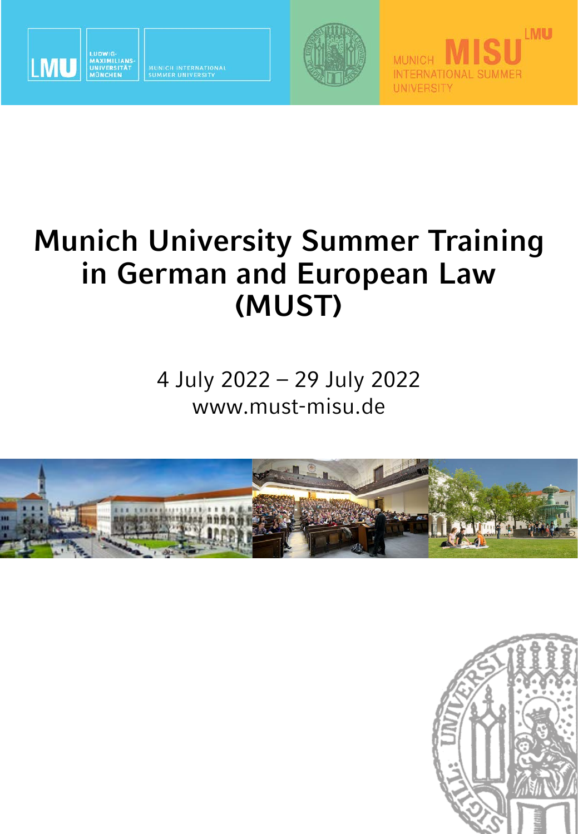

MUNICH INTERNATIONAL<br>SUMMER UNIVERSITY



**MUNICH** 

**UNIVERSITY** 

**INTERNATIONAL SUMMER** 



4 July 2022 – 29 July 2022 www.must-misu.de





**LMU**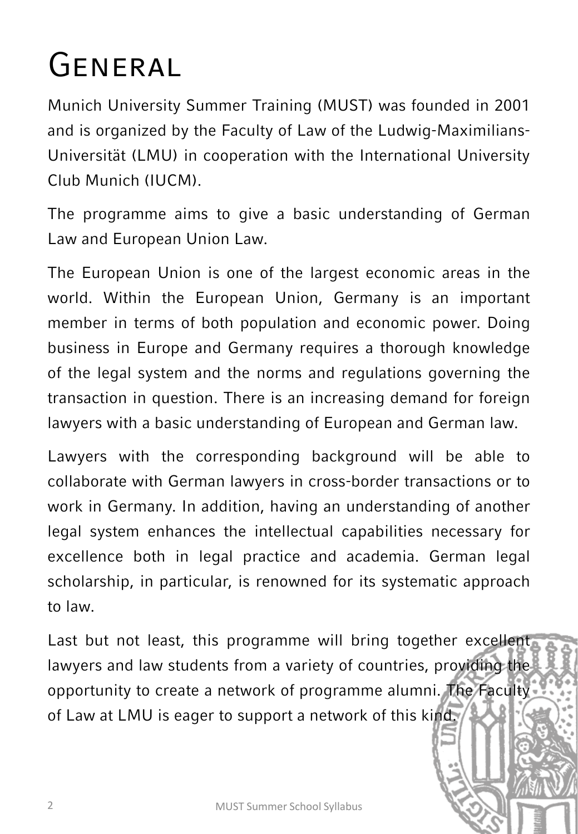# General

Munich University Summer Training (MUST) was founded in 2001 and is organized by the Faculty of Law of the Ludwig-Maximilians-Universität (LMU) in cooperation with the International University Club Munich (IUCM).

The programme aims to give a basic understanding of German Law and European Union Law.

The European Union is one of the largest economic areas in the world. Within the European Union, Germany is an important member in terms of both population and economic power. Doing business in Europe and Germany requires a thorough knowledge of the legal system and the norms and regulations governing the transaction in question. There is an increasing demand for foreign lawyers with a basic understanding of European and German law.

Lawyers with the corresponding background will be able to collaborate with German lawyers in cross-border transactions or to work in Germany. In addition, having an understanding of another legal system enhances the intellectual capabilities necessary for excellence both in legal practice and academia. German legal scholarship, in particular, is renowned for its systematic approach to law.

Last but not least, this programme will bring together excellent lawyers and law students from a variety of countries, providing the opportunity to create a network of programme alumni. The Faculty of Law at LMU is eager to support a network of this kind.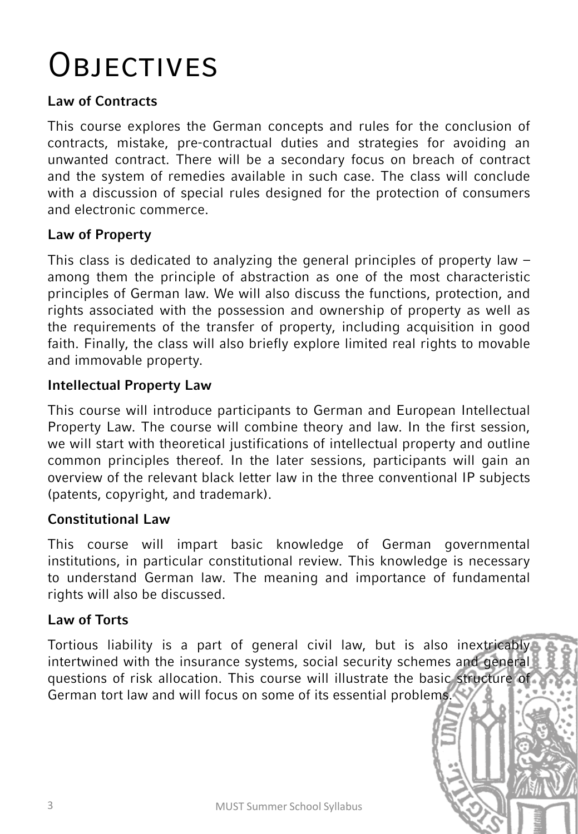## **OBJECTIVES**

#### **Law of Contracts**

This course explores the German concepts and rules for the conclusion of contracts, mistake, pre-contractual duties and strategies for avoiding an unwanted contract. There will be a secondary focus on breach of contract and the system of remedies available in such case. The class will conclude with a discussion of special rules designed for the protection of consumers and electronic commerce.

#### **Law of Property**

This class is dedicated to analyzing the general principles of property law – among them the principle of abstraction as one of the most characteristic principles of German law. We will also discuss the functions, protection, and rights associated with the possession and ownership of property as well as the requirements of the transfer of property, including acquisition in good faith. Finally, the class will also briefly explore limited real rights to movable and immovable property.

#### **Intellectual Property Law**

This course will introduce participants to German and European Intellectual Property Law. The course will combine theory and law. In the first session, we will start with theoretical justifications of intellectual property and outline common principles thereof. In the later sessions, participants will gain an overview of the relevant black letter law in the three conventional IP subjects (patents, copyright, and trademark).

#### **Constitutional Law**

This course will impart basic knowledge of German governmental institutions, in particular constitutional review. This knowledge is necessary to understand German law. The meaning and importance of fundamental rights will also be discussed.

#### **Law of Torts**

Tortious liability is a part of general civil law, but is also inextricably intertwined with the insurance systems, social security schemes and general questions of risk allocation. This course will illustrate the basic structure of German tort law and will focus on some of its essential problems.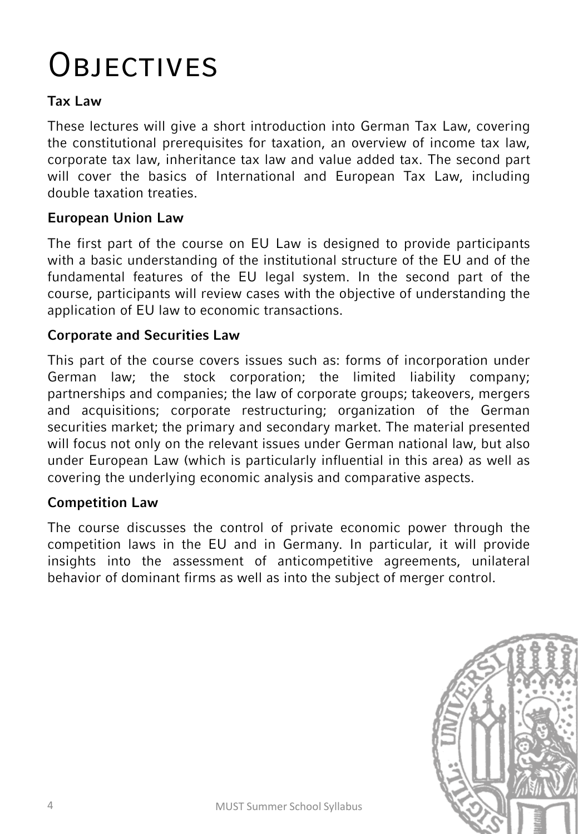# **OBJECTIVES**

#### **Tax Law**

These lectures will give a short introduction into German Tax Law, covering the constitutional prerequisites for taxation, an overview of income tax law, corporate tax law, inheritance tax law and value added tax. The second part will cover the basics of International and European Tax Law, including double taxation treaties.

#### **European Union Law**

The first part of the course on EU Law is designed to provide participants with a basic understanding of the institutional structure of the EU and of the fundamental features of the EU legal system. In the second part of the course, participants will review cases with the objective of understanding the application of EU law to economic transactions.

#### **Corporate and Securities Law**

This part of the course covers issues such as: forms of incorporation under German law; the stock corporation; the limited liability company; partnerships and companies; the law of corporate groups; takeovers, mergers and acquisitions; corporate restructuring; organization of the German securities market; the primary and secondary market. The material presented will focus not only on the relevant issues under German national law, but also under European Law (which is particularly influential in this area) as well as covering the underlying economic analysis and comparative aspects.

#### **Competition Law**

The course discusses the control of private economic power through the competition laws in the EU and in Germany. In particular, it will provide insights into the assessment of anticompetitive agreements, unilateral behavior of dominant firms as well as into the subject of merger control.

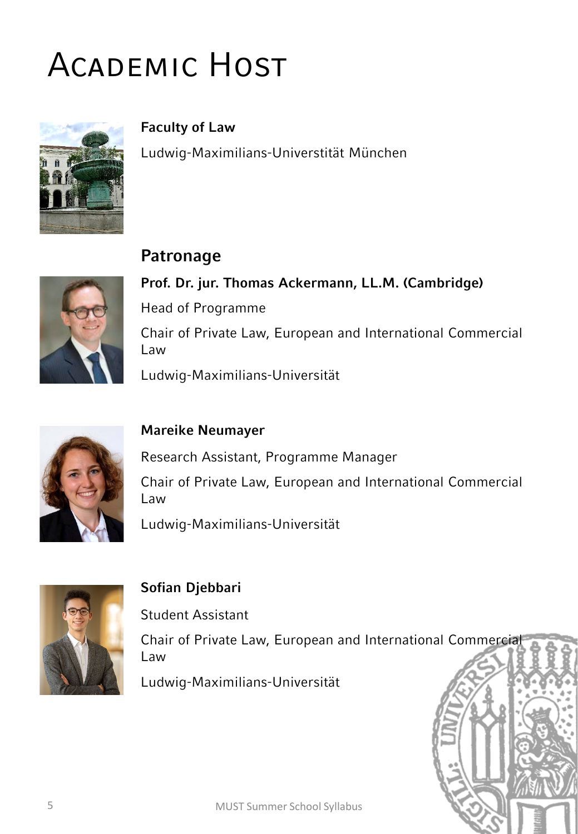# Academic Host

**Patronage** 



**Faculty of Law**  Ludwig-Maximilians-Universtität München



**Prof. Dr. jur. Thomas Ackermann, LL.M. (Cambridge)** Head of Programme Chair of Private Law, European and International Commercial Law Ludwig-Maximilians-Universität



#### **Mareike Neumayer**

Research Assistant, Programme Manager Chair of Private Law, European and International Commercial Law

Ludwig-Maximilians-Universität



#### **Sofian Djebbari**

Student Assistant

Chair of Private Law, European and International Commercial Law

Ludwig-Maximilians-Universität

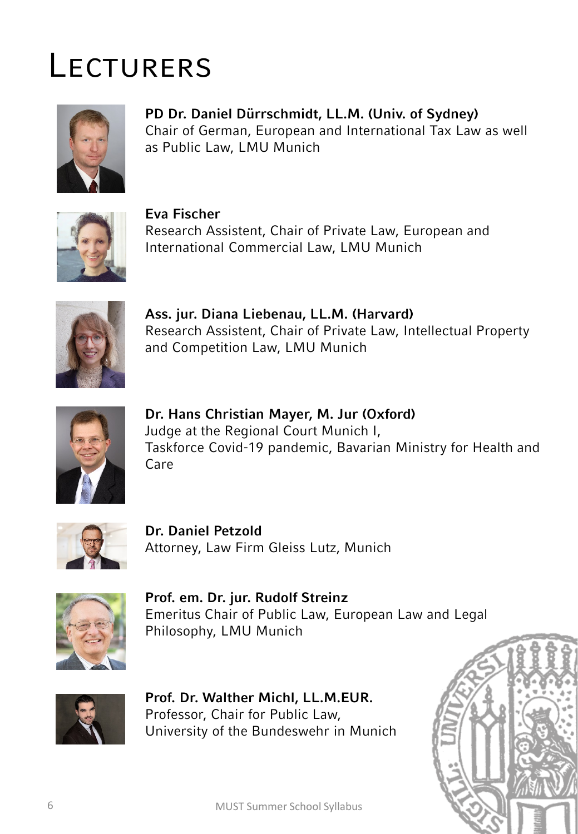## **LECTURERS**



**PD Dr. Daniel Dürrschmidt, LL.M. (Univ. of Sydney)** Chair of German, European and International Tax Law as well as Public Law, LMU Munich



**Eva Fischer** Research Assistent, Chair of Private Law, European and International Commercial Law, LMU Munich



**Ass. jur. Diana Liebenau, LL.M. (Harvard)** Research Assistent, Chair of Private Law, Intellectual Property and Competition Law, LMU Munich



**Dr. Hans Christian Mayer, M. Jur (Oxford)** Judge at the Regional Court Munich I, Taskforce Covid-19 pandemic, Bavarian Ministry for Health and Care



**Dr. Daniel Petzold** Attorney, Law Firm Gleiss Lutz, Munich



**Prof. em. Dr. jur. Rudolf Streinz** Emeritus Chair of Public Law, European Law and Legal Philosophy, LMU Munich



**Prof. Dr. Walther Michl, LL.M.EUR.** Professor, Chair for Public Law, University of the Bundeswehr in Munich

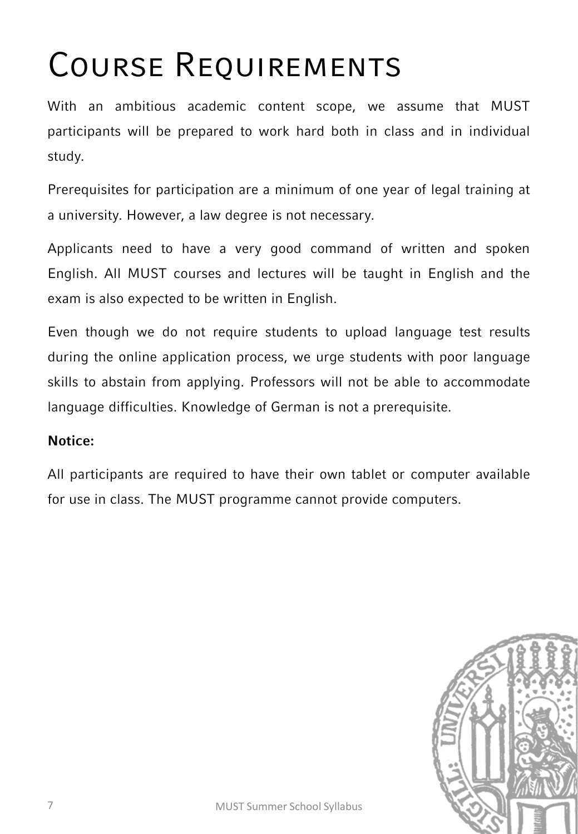# Course Requirements

With an ambitious academic content scope, we assume that MUST participants will be prepared to work hard both in class and in individual study.

Prerequisites for participation are a minimum of one year of legal training at a university. However, a law degree is not necessary.

Applicants need to have a very good command of written and spoken English. All MUST courses and lectures will be taught in English and the exam is also expected to be written in English.

Even though we do not require students to upload language test results during the online application process, we urge students with poor language skills to abstain from applying. Professors will not be able to accommodate language difficulties. Knowledge of German is not a prerequisite.

#### **Notice:**

All participants are required to have their own tablet or computer available for use in class. The MUST programme cannot provide computers.

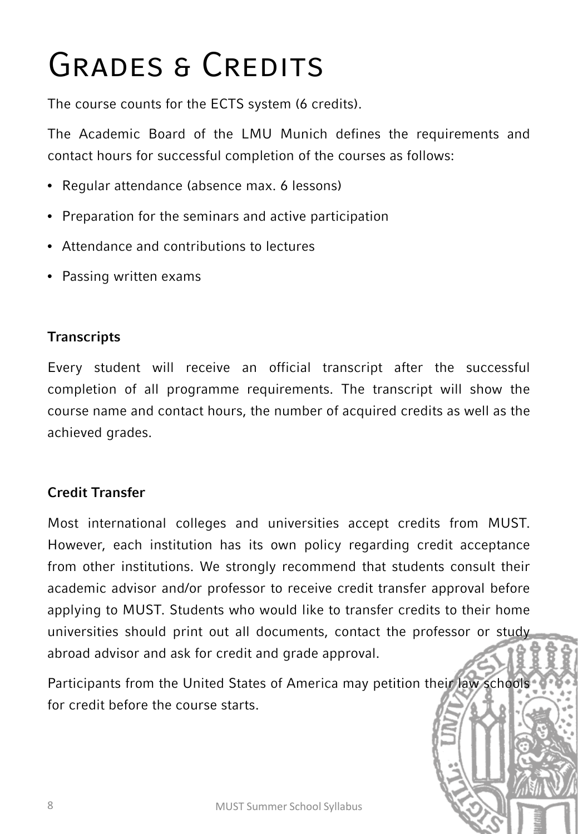# GRADES & CREDITS

The course counts for the ECTS system (6 credits).

The Academic Board of the LMU Munich defines the requirements and contact hours for successful completion of the courses as follows:

- Regular attendance (absence max. 6 lessons)
- Preparation for the seminars and active participation
- Attendance and contributions to lectures
- Passing written exams

### **Transcripts**

Every student will receive an official transcript after the successful completion of all programme requirements. The transcript will show the course name and contact hours, the number of acquired credits as well as the achieved grades.

### **Credit Transfer**

Most international colleges and universities accept credits from MUST. However, each institution has its own policy regarding credit acceptance from other institutions. We strongly recommend that students consult their academic advisor and/or professor to receive credit transfer approval before applying to MUST. Students who would like to transfer credits to their home universities should print out all documents, contact the professor or study abroad advisor and ask for credit and grade approval.

Participants from the United States of America may petition their law schools for credit before the course starts.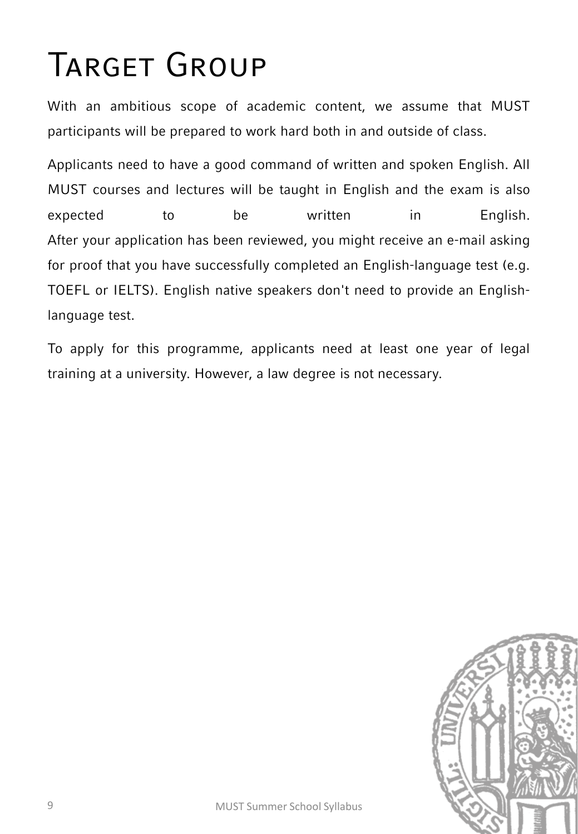# Target Group

With an ambitious scope of academic content, we assume that MUST participants will be prepared to work hard both in and outside of class.

Applicants need to have a good command of written and spoken English. All MUST courses and lectures will be taught in English and the exam is also expected to be written in English. After your application has been reviewed, you might receive an e-mail asking for proof that you have successfully completed an English-language test (e.g. TOEFL or IELTS). English native speakers don't need to provide an Englishlanguage test.

To apply for this programme, applicants need at least one year of legal training at a university. However, a law degree is not necessary.

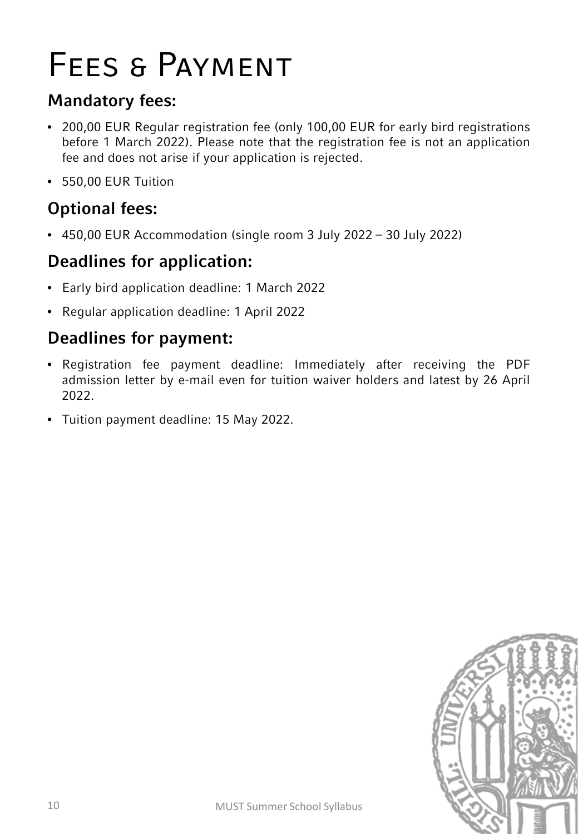## Fees & Payment

## **Mandatory fees:**

- 200,00 EUR Regular registration fee (only 100,00 EUR for early bird registrations before 1 March 2022). Please note that the registration fee is not an application fee and does not arise if your application is rejected.
- 550,00 EUR Tuition

## **Optional fees:**

• 450,00 EUR Accommodation (single room 3 July 2022 – 30 July 2022)

## **Deadlines for application:**

- Early bird application deadline: 1 March 2022
- Regular application deadline: 1 April 2022

## **Deadlines for payment:**

- Registration fee payment deadline: Immediately after receiving the PDF admission letter by e-mail even for tuition waiver holders and latest by 26 April 2022.
- Tuition payment deadline: 15 May 2022.

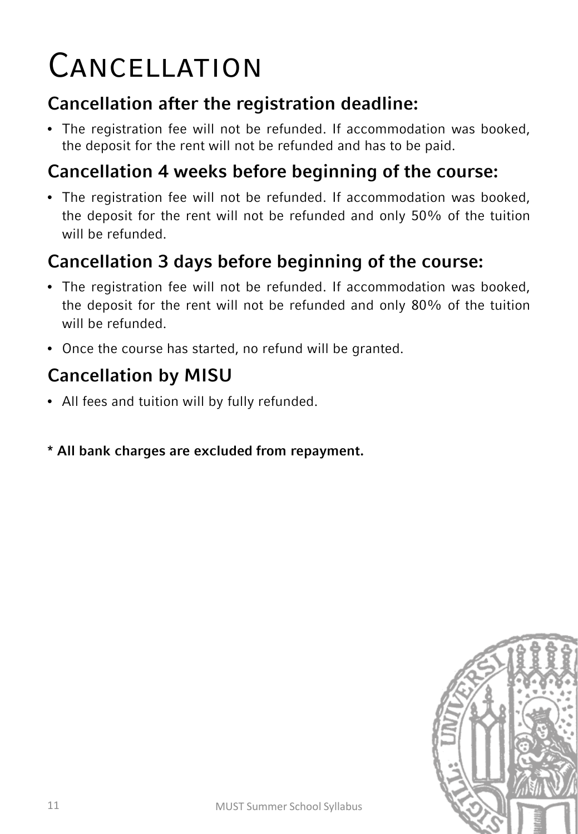# **CANCELLATION**

## **Cancellation after the registration deadline:**

• The registration fee will not be refunded. If accommodation was booked, the deposit for the rent will not be refunded and has to be paid.

## **Cancellation 4 weeks before beginning of the course:**

• The registration fee will not be refunded. If accommodation was booked, the deposit for the rent will not be refunded and only 50% of the tuition will be refunded.

## **Cancellation 3 days before beginning of the course:**

- The registration fee will not be refunded. If accommodation was booked, the deposit for the rent will not be refunded and only 80% of the tuition will be refunded.
- Once the course has started, no refund will be granted.

## **Cancellation by MISU**

- All fees and tuition will by fully refunded.
- **\* All bank charges are excluded from repayment.**

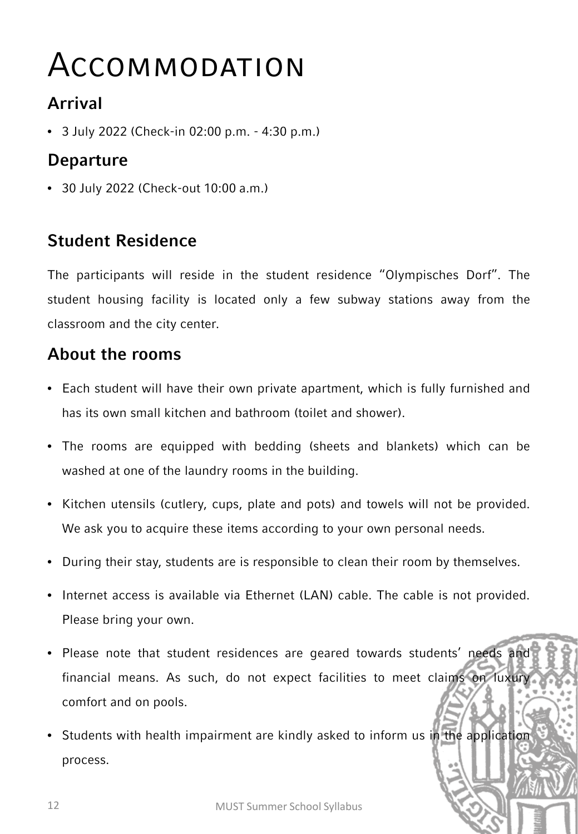## Accommodation

## **Arrival**

• 3 July 2022 (Check-in 02:00 p.m. - 4:30 p.m.)

## **Departure**

• 30 July 2022 (Check-out 10:00 a.m.)

## **Student Residence**

The participants will reside in the student residence "Olympisches Dorf". The student housing facility is located only a few subway stations away from the classroom and the city center.

## **About the rooms**

- Each student will have their own private apartment, which is fully furnished and has its own small kitchen and bathroom (toilet and shower).
- The rooms are equipped with bedding (sheets and blankets) which can be washed at one of the laundry rooms in the building.
- Kitchen utensils (cutlery, cups, plate and pots) and towels will not be provided. We ask you to acquire these items according to your own personal needs.
- During their stay, students are is responsible to clean their room by themselves.
- Internet access is available via Ethernet (LAN) cable. The cable is not provided. Please bring your own.
- Please note that student residences are geared towards students' needs and financial means. As such, do not expect facilities to meet claims on luxury comfort and on pools.
- Students with health impairment are kindly asked to inform us in the application process.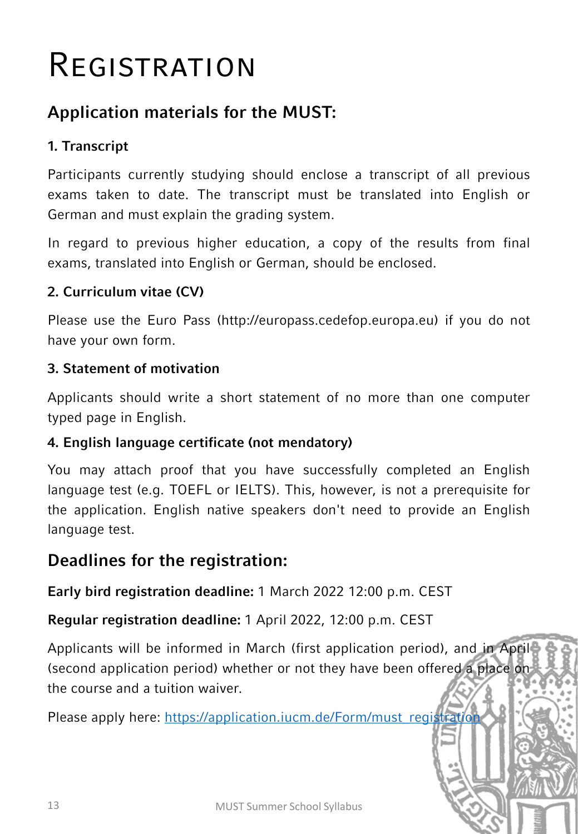## **REGISTRATION**

## **Application materials for the MUST:**

### **1. Transcript**

Participants currently studying should enclose a transcript of all previous exams taken to date. The transcript must be translated into English or German and must explain the grading system.

In regard to previous higher education, a copy of the results from final exams, translated into English or German, should be enclosed.

#### **2. Curriculum vitae (CV)**

Please use the Euro Pass (http://europass.cedefop.europa.eu) if you do not have your own form.

#### **3. Statement of motivation**

Applicants should write a short statement of no more than one computer typed page in English.

#### **4. English language certificate (not mendatory)**

You may attach proof that you have successfully completed an English language test (e.g. TOEFL or IELTS). This, however, is not a prerequisite for the application. English native speakers don't need to provide an English language test.

## **Deadlines for the registration:**

**Early bird registration deadline:** 1 March 2022 12:00 p.m. CEST

**Regular registration deadline:** 1 April 2022, 12:00 p.m. CEST

Applicants will be informed in March (first application period), and in April (second application period) whether or not they have been offered a place on the course and a tuition waiver.

Please apply here: [https://application.iucm.de/Form/must\\_registration](https://application.iucm.de/Form/must_registration)